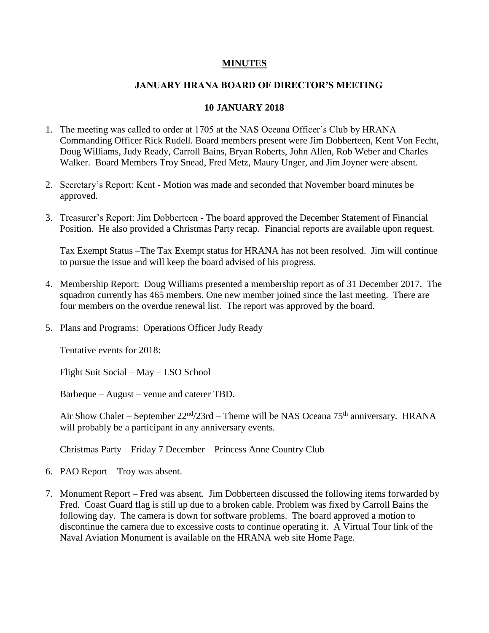## **MINUTES**

## **JANUARY HRANA BOARD OF DIRECTOR'S MEETING**

## **10 JANUARY 2018**

- 1. The meeting was called to order at 1705 at the NAS Oceana Officer's Club by HRANA Commanding Officer Rick Rudell. Board members present were Jim Dobberteen, Kent Von Fecht, Doug Williams, Judy Ready, Carroll Bains, Bryan Roberts, John Allen, Rob Weber and Charles Walker. Board Members Troy Snead, Fred Metz, Maury Unger, and Jim Joyner were absent.
- 2. Secretary's Report: Kent Motion was made and seconded that November board minutes be approved.
- 3. Treasurer's Report: Jim Dobberteen The board approved the December Statement of Financial Position. He also provided a Christmas Party recap. Financial reports are available upon request.

Tax Exempt Status –The Tax Exempt status for HRANA has not been resolved. Jim will continue to pursue the issue and will keep the board advised of his progress.

- 4. Membership Report: Doug Williams presented a membership report as of 31 December 2017. The squadron currently has 465 members. One new member joined since the last meeting. There are four members on the overdue renewal list. The report was approved by the board.
- 5. Plans and Programs: Operations Officer Judy Ready

Tentative events for 2018:

Flight Suit Social – May – LSO School

Barbeque – August – venue and caterer TBD.

Air Show Chalet – September  $22<sup>nd</sup>/23$ rd – Theme will be NAS Oceana 75<sup>th</sup> anniversary. HRANA will probably be a participant in any anniversary events.

Christmas Party – Friday 7 December – Princess Anne Country Club

- 6. PAO Report Troy was absent.
- 7. Monument Report Fred was absent. Jim Dobberteen discussed the following items forwarded by Fred. Coast Guard flag is still up due to a broken cable. Problem was fixed by Carroll Bains the following day. The camera is down for software problems. The board approved a motion to discontinue the camera due to excessive costs to continue operating it. A Virtual Tour link of the Naval Aviation Monument is available on the HRANA web site Home Page.